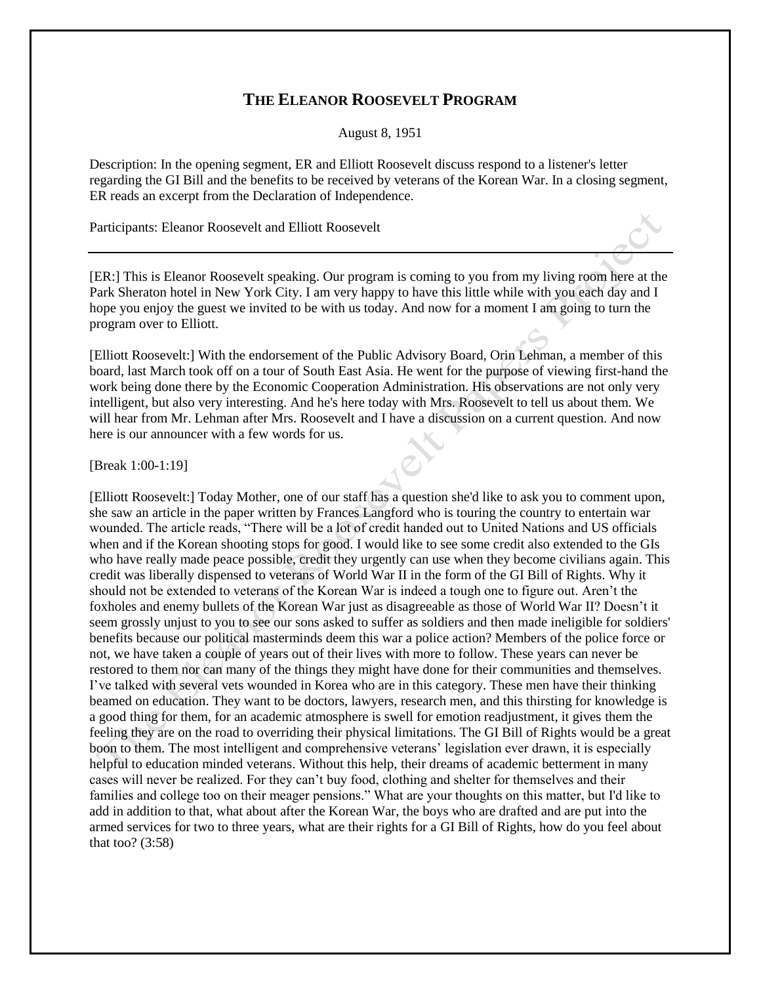## **THE ELEANOR ROOSEVELT PROGRAM**

August 8, 1951

Description: In the opening segment, ER and Elliott Roosevelt discuss respond to a listener's letter regarding the GI Bill and the benefits to be received by veterans of the Korean War. In a closing segment, ER reads an excerpt from the Declaration of Independence.

Participants: Eleanor Roosevelt and Elliott Roosevelt

[ER:] This is Eleanor Roosevelt speaking. Our program is coming to you from my living room here at the Park Sheraton hotel in New York City. I am very happy to have this little while with you each day and I hope you enjoy the guest we invited to be with us today. And now for a moment I am going to turn the program over to Elliott.

[Elliott Roosevelt:] With the endorsement of the Public Advisory Board, Orin Lehman, a member of this board, last March took off on a tour of South East Asia. He went for the purpose of viewing first-hand the work being done there by the Economic Cooperation Administration. His observations are not only very intelligent, but also very interesting. And he's here today with Mrs. Roosevelt to tell us about them. We will hear from Mr. Lehman after Mrs. Roosevelt and I have a discussion on a current question. And now here is our announcer with a few words for us.

[Break 1:00-1:19]

[Elliott Roosevelt:] Today Mother, one of our staff has a question she'd like to ask you to comment upon, she saw an article in the paper written by Frances Langford who is touring the country to entertain war wounded. The article reads, "There will be a lot of credit handed out to United Nations and US officials when and if the Korean shooting stops for good. I would like to see some credit also extended to the GIs who have really made peace possible, credit they urgently can use when they become civilians again. This credit was liberally dispensed to veterans of World War II in the form of the GI Bill of Rights. Why it should not be extended to veterans of the Korean War is indeed a tough one to figure out. Aren't the foxholes and enemy bullets of the Korean War just as disagreeable as those of World War II? Doesn't it seem grossly unjust to you to see our sons asked to suffer as soldiers and then made ineligible for soldiers' benefits because our political masterminds deem this war a police action? Members of the police force or not, we have taken a couple of years out of their lives with more to follow. These years can never be restored to them nor can many of the things they might have done for their communities and themselves. I've talked with several vets wounded in Korea who are in this category. These men have their thinking beamed on education. They want to be doctors, lawyers, research men, and this thirsting for knowledge is a good thing for them, for an academic atmosphere is swell for emotion readjustment, it gives them the feeling they are on the road to overriding their physical limitations. The GI Bill of Rights would be a great boon to them. The most intelligent and comprehensive veterans' legislation ever drawn, it is especially helpful to education minded veterans. Without this help, their dreams of academic betterment in many cases will never be realized. For they can't buy food, clothing and shelter for themselves and their families and college too on their meager pensions." What are your thoughts on this matter, but I'd like to add in addition to that, what about after the Korean War, the boys who are drafted and are put into the armed services for two to three years, what are their rights for a GI Bill of Rights, how do you feel about that too?  $(3:58)$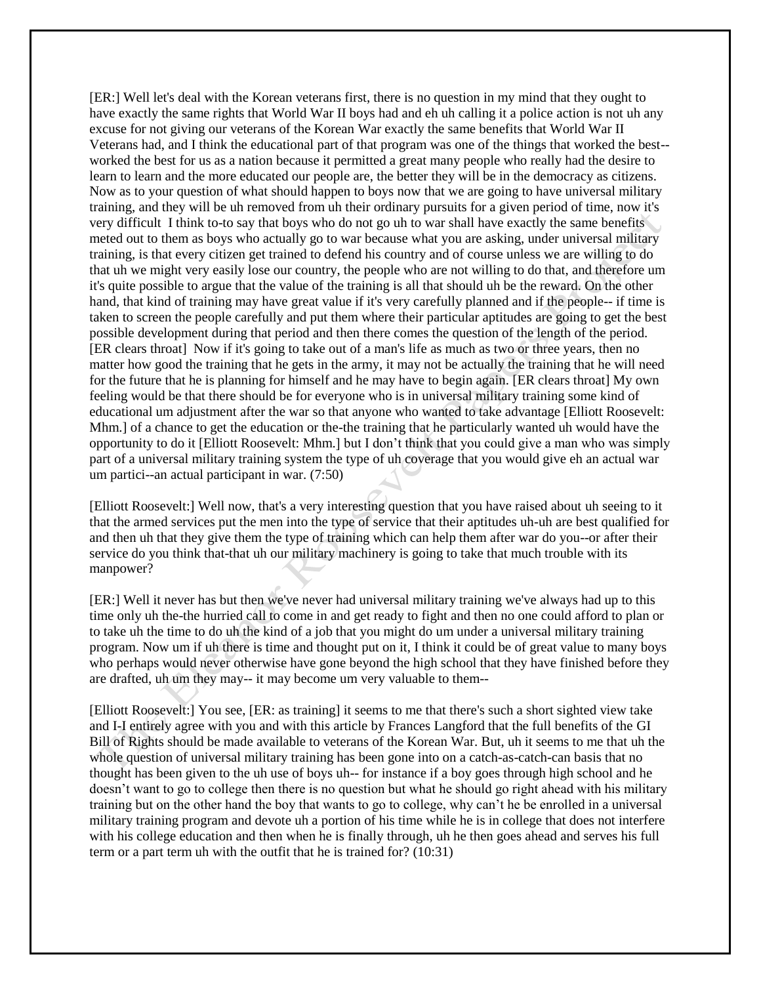[ER:] Well let's deal with the Korean veterans first, there is no question in my mind that they ought to have exactly the same rights that World War II boys had and eh uh calling it a police action is not uh any excuse for not giving our veterans of the Korean War exactly the same benefits that World War II Veterans had, and I think the educational part of that program was one of the things that worked the best- worked the best for us as a nation because it permitted a great many people who really had the desire to learn to learn and the more educated our people are, the better they will be in the democracy as citizens. Now as to your question of what should happen to boys now that we are going to have universal military training, and they will be uh removed from uh their ordinary pursuits for a given period of time, now it's very difficult I think to-to say that boys who do not go uh to war shall have exactly the same benefits meted out to them as boys who actually go to war because what you are asking, under universal military training, is that every citizen get trained to defend his country and of course unless we are willing to do that uh we might very easily lose our country, the people who are not willing to do that, and therefore um it's quite possible to argue that the value of the training is all that should uh be the reward. On the other hand, that kind of training may have great value if it's very carefully planned and if the people-- if time is taken to screen the people carefully and put them where their particular aptitudes are going to get the best possible development during that period and then there comes the question of the length of the period. [ER clears throat] Now if it's going to take out of a man's life as much as two or three years, then no matter how good the training that he gets in the army, it may not be actually the training that he will need for the future that he is planning for himself and he may have to begin again. [ER clears throat] My own feeling would be that there should be for everyone who is in universal military training some kind of educational um adjustment after the war so that anyone who wanted to take advantage [Elliott Roosevelt: Mhm.] of a chance to get the education or the-the training that he particularly wanted uh would have the opportunity to do it [Elliott Roosevelt: Mhm.] but I don't think that you could give a man who was simply part of a universal military training system the type of uh coverage that you would give eh an actual war um partici--an actual participant in war. (7:50)

[Elliott Roosevelt:] Well now, that's a very interesting question that you have raised about uh seeing to it that the armed services put the men into the type of service that their aptitudes uh-uh are best qualified for and then uh that they give them the type of training which can help them after war do you--or after their service do you think that-that uh our military machinery is going to take that much trouble with its manpower?

[ER:] Well it never has but then we've never had universal military training we've always had up to this time only uh the-the hurried call to come in and get ready to fight and then no one could afford to plan or to take uh the time to do uh the kind of a job that you might do um under a universal military training program. Now um if uh there is time and thought put on it, I think it could be of great value to many boys who perhaps would never otherwise have gone beyond the high school that they have finished before they are drafted, uh um they may-- it may become um very valuable to them--

[Elliott Roosevelt:] You see, [ER: as training] it seems to me that there's such a short sighted view take and I-I entirely agree with you and with this article by Frances Langford that the full benefits of the GI Bill of Rights should be made available to veterans of the Korean War. But, uh it seems to me that uh the whole question of universal military training has been gone into on a catch-as-catch-can basis that no thought has been given to the uh use of boys uh-- for instance if a boy goes through high school and he doesn't want to go to college then there is no question but what he should go right ahead with his military training but on the other hand the boy that wants to go to college, why can't he be enrolled in a universal military training program and devote uh a portion of his time while he is in college that does not interfere with his college education and then when he is finally through, uh he then goes ahead and serves his full term or a part term uh with the outfit that he is trained for? (10:31)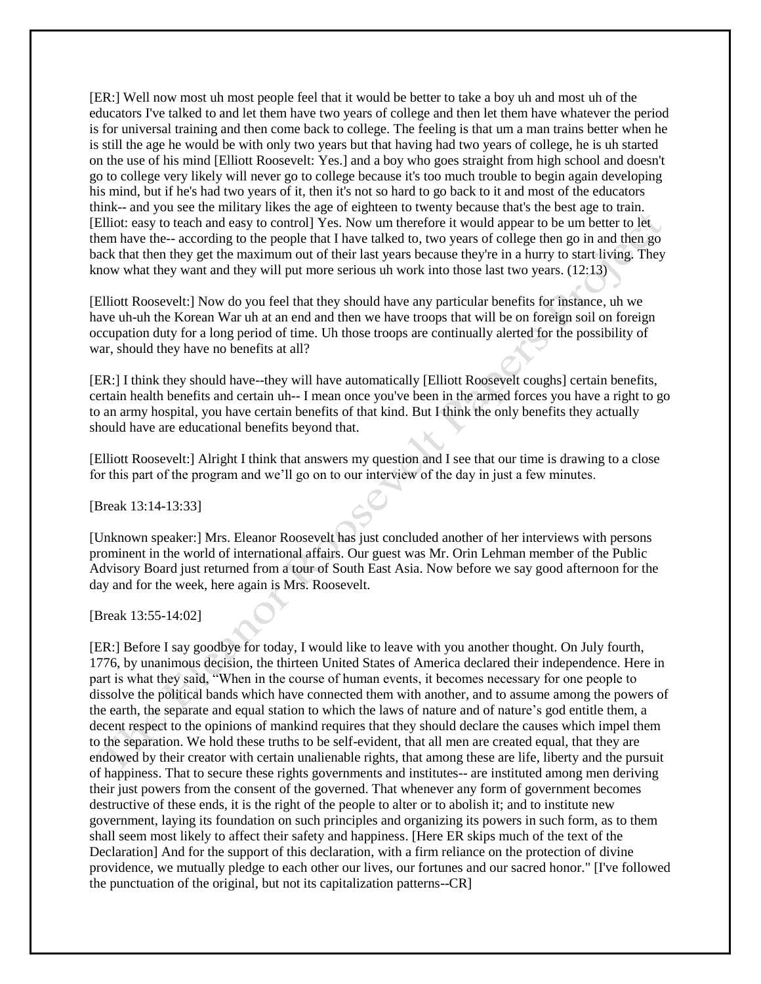[ER:] Well now most uh most people feel that it would be better to take a boy uh and most uh of the educators I've talked to and let them have two years of college and then let them have whatever the period is for universal training and then come back to college. The feeling is that um a man trains better when he is still the age he would be with only two years but that having had two years of college, he is uh started on the use of his mind [Elliott Roosevelt: Yes.] and a boy who goes straight from high school and doesn't go to college very likely will never go to college because it's too much trouble to begin again developing his mind, but if he's had two years of it, then it's not so hard to go back to it and most of the educators think-- and you see the military likes the age of eighteen to twenty because that's the best age to train. [Elliot: easy to teach and easy to control] Yes. Now um therefore it would appear to be um better to let them have the-- according to the people that I have talked to, two years of college then go in and then go back that then they get the maximum out of their last years because they're in a hurry to start living. They know what they want and they will put more serious uh work into those last two years. (12:13)

[Elliott Roosevelt:] Now do you feel that they should have any particular benefits for instance, uh we have uh-uh the Korean War uh at an end and then we have troops that will be on foreign soil on foreign occupation duty for a long period of time. Uh those troops are continually alerted for the possibility of war, should they have no benefits at all?

[ER:] I think they should have--they will have automatically [Elliott Roosevelt coughs] certain benefits, certain health benefits and certain uh-- I mean once you've been in the armed forces you have a right to go to an army hospital, you have certain benefits of that kind. But I think the only benefits they actually should have are educational benefits beyond that.

[Elliott Roosevelt:] Alright I think that answers my question and I see that our time is drawing to a close for this part of the program and we'll go on to our interview of the day in just a few minutes.

[Break 13:14-13:33]

[Unknown speaker:] Mrs. Eleanor Roosevelt has just concluded another of her interviews with persons prominent in the world of international affairs. Our guest was Mr. Orin Lehman member of the Public Advisory Board just returned from a tour of South East Asia. Now before we say good afternoon for the day and for the week, here again is Mrs. Roosevelt.

[Break 13:55-14:02]

[ER:] Before I say goodbye for today, I would like to leave with you another thought. On July fourth, 1776, by unanimous decision, the thirteen United States of America declared their independence. Here in part is what they said, "When in the course of human events, it becomes necessary for one people to dissolve the political bands which have connected them with another, and to assume among the powers of the earth, the separate and equal station to which the laws of nature and of nature's god entitle them, a decent respect to the opinions of mankind requires that they should declare the causes which impel them to the separation. We hold these truths to be self-evident, that all men are created equal, that they are endowed by their creator with certain unalienable rights, that among these are life, liberty and the pursuit of happiness. That to secure these rights governments and institutes-- are instituted among men deriving their just powers from the consent of the governed. That whenever any form of government becomes destructive of these ends, it is the right of the people to alter or to abolish it; and to institute new government, laying its foundation on such principles and organizing its powers in such form, as to them shall seem most likely to affect their safety and happiness. [Here ER skips much of the text of the Declaration] And for the support of this declaration, with a firm reliance on the protection of divine providence, we mutually pledge to each other our lives, our fortunes and our sacred honor." [I've followed the punctuation of the original, but not its capitalization patterns--CR]